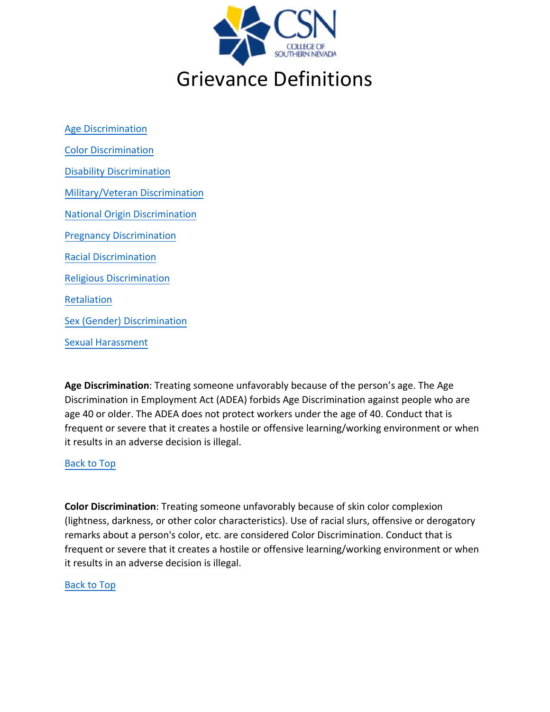

<span id="page-0-2"></span>[Age Discrimination](#page-0-0) [Color Discrimination](#page-0-1) [Disability Discrimination](#page-1-0) [Military/Veteran Discrimination](#page-1-1) [National Origin Discrimination](#page-1-2) [Pregnancy Discrimination](#page-1-3) [Racial Discrimination](#page-1-4) [Religious Discrimination](#page-2-0) [Retaliation](#page-2-1) [Sex \(Gender\) Discrimination](#page-3-0) [Sexual Harassment](#page-3-1) 

<span id="page-0-0"></span>**Age Discrimination**: Treating someone unfavorably because of the person's age. The Age Discrimination in Employment Act (ADEA) forbids Age Discrimination against people who are age 40 or older. The ADEA does not protect workers under the age of 40. Conduct that is frequent or severe that it creates a hostile or offensive learning/working environment or when it results in an adverse decision is illegal.

### [Back to Top](#page-0-2)

<span id="page-0-1"></span>**Color Discrimination**: Treating someone unfavorably because of skin color complexion (lightness, darkness, or other color characteristics). Use of racial slurs, offensive or derogatory remarks about a person's color, etc. are considered Color Discrimination. Conduct that is frequent or severe that it creates a hostile or offensive learning/working environment or when it results in an adverse decision is illegal.

#### [Back to Top](#page-0-2)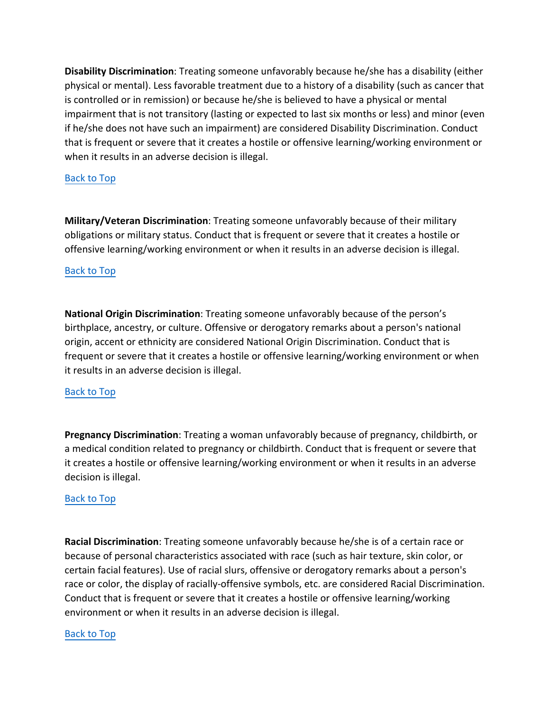<span id="page-1-0"></span>**Disability Discrimination**: Treating someone unfavorably because he/she has a disability (either physical or mental). Less favorable treatment due to a history of a disability (such as cancer that is controlled or in remission) or because he/she is believed to have a physical or mental impairment that is not transitory (lasting or expected to last six months or less) and minor (even if he/she does not have such an impairment) are considered Disability Discrimination. Conduct that is frequent or severe that it creates a hostile or offensive learning/working environment or when it results in an adverse decision is illegal.

# [Back to Top](#page-0-2)

<span id="page-1-1"></span>**Military/Veteran Discrimination**: Treating someone unfavorably because of their military obligations or military status. Conduct that is frequent or severe that it creates a hostile or offensive learning/working environment or when it results in an adverse decision is illegal.

### [Back to Top](#page-0-2)

<span id="page-1-2"></span>**National Origin Discrimination**: Treating someone unfavorably because of the person's birthplace, ancestry, or culture. Offensive or derogatory remarks about a person's national origin, accent or ethnicity are considered National Origin Discrimination. Conduct that is frequent or severe that it creates a hostile or offensive learning/working environment or when it results in an adverse decision is illegal.

### [Back to Top](#page-0-2)

<span id="page-1-3"></span>**Pregnancy Discrimination**: Treating a woman unfavorably because of pregnancy, childbirth, or a medical condition related to pregnancy or childbirth. Conduct that is frequent or severe that it creates a hostile or offensive learning/working environment or when it results in an adverse decision is illegal.

### [Back to Top](#page-0-2)

<span id="page-1-4"></span>**Racial Discrimination**: Treating someone unfavorably because he/she is of a certain race or because of personal characteristics associated with race (such as hair texture, skin color, or certain facial features). Use of racial slurs, offensive or derogatory remarks about a person's race or color, the display of racially-offensive symbols, etc. are considered Racial Discrimination. Conduct that is frequent or severe that it creates a hostile or offensive learning/working environment or when it results in an adverse decision is illegal.

### [Back to Top](#page-0-2)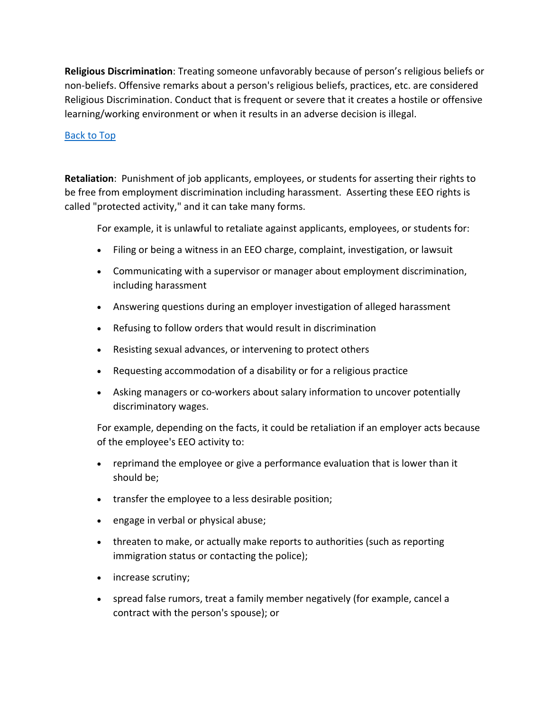<span id="page-2-0"></span>**Religious Discrimination**: Treating someone unfavorably because of person's religious beliefs or non-beliefs. Offensive remarks about a person's religious beliefs, practices, etc. are considered Religious Discrimination. Conduct that is frequent or severe that it creates a hostile or offensive learning/working environment or when it results in an adverse decision is illegal.

# [Back to Top](#page-0-2)

<span id="page-2-1"></span>**Retaliation**: Punishment of job applicants, employees, or students for asserting their rights to be free from employment discrimination including harassment. Asserting these EEO rights is called "protected activity," and it can take many forms.

For example, it is unlawful to retaliate against applicants, employees, or students for:

- Filing or being a witness in an EEO charge, complaint, investigation, or lawsuit
- Communicating with a supervisor or manager about employment discrimination, including harassment
- Answering questions during an employer investigation of alleged harassment
- Refusing to follow orders that would result in discrimination
- Resisting sexual advances, or intervening to protect others
- Requesting accommodation of a disability or for a religious practice
- Asking managers or co-workers about salary information to uncover potentially discriminatory wages.

For example, depending on the facts, it could be retaliation if an employer acts because of the employee's EEO activity to:

- reprimand the employee or give a performance evaluation that is lower than it should be;
- transfer the employee to a less desirable position;
- engage in verbal or physical abuse;
- threaten to make, or actually make reports to authorities (such as reporting immigration status or contacting the police);
- increase scrutiny;
- spread false rumors, treat a family member negatively (for example, cancel a contract with the person's spouse); or